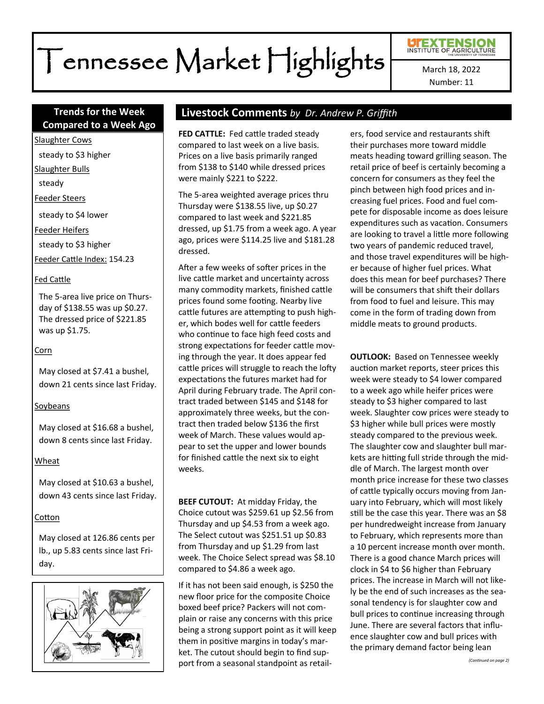# Tennessee Market Highlights

# Number: 11

# **Compared to a Week Ago**

Slaughter Cows

steady to \$3 higher

Slaughter Bulls

steady

Feeder Steers

steady to \$4 lower

Feeder Heifers

steady to \$3 higher

Feeder Cattle Index: 154.23

#### Fed Cattle

The 5-area live price on Thursday of \$138.55 was up \$0.27. The dressed price of \$221.85 was up \$1.75.

#### Corn

May closed at \$7.41 a bushel, down 21 cents since last Friday.

#### Soybeans

May closed at \$16.68 a bushel, down 8 cents since last Friday.

#### Wheat

May closed at \$10.63 a bushel, down 43 cents since last Friday.

#### Cotton

May closed at 126.86 cents per lb., up 5.83 cents since last Friday.



# **Trends for the Week Livestock Comments** *by Dr. Andrew P. Griffith*

**FED CATTLE:** Fed cattle traded steady compared to last week on a live basis. Prices on a live basis primarily ranged from \$138 to \$140 while dressed prices were mainly \$221 to \$222.

The 5-area weighted average prices thru Thursday were \$138.55 live, up \$0.27 compared to last week and \$221.85 dressed, up \$1.75 from a week ago. A year ago, prices were \$114.25 live and \$181.28 dressed.

After a few weeks of softer prices in the live cattle market and uncertainty across many commodity markets, finished cattle prices found some footing. Nearby live cattle futures are attempting to push higher, which bodes well for cattle feeders who continue to face high feed costs and strong expectations for feeder cattle moving through the year. It does appear fed cattle prices will struggle to reach the lofty expectations the futures market had for April during February trade. The April contract traded between \$145 and \$148 for approximately three weeks, but the contract then traded below \$136 the first week of March. These values would appear to set the upper and lower bounds for finished cattle the next six to eight weeks.

**BEEF CUTOUT:** At midday Friday, the Choice cutout was \$259.61 up \$2.56 from Thursday and up \$4.53 from a week ago. The Select cutout was \$251.51 up \$0.83 from Thursday and up \$1.29 from last week. The Choice Select spread was \$8.10 compared to \$4.86 a week ago.

If it has not been said enough, is \$250 the new floor price for the composite Choice boxed beef price? Packers will not complain or raise any concerns with this price being a strong support point as it will keep them in positive margins in today's market. The cutout should begin to find support from a seasonal standpoint as retailers, food service and restaurants shift their purchases more toward middle meats heading toward grilling season. The retail price of beef is certainly becoming a concern for consumers as they feel the pinch between high food prices and increasing fuel prices. Food and fuel compete for disposable income as does leisure expenditures such as vacation. Consumers are looking to travel a little more following two years of pandemic reduced travel, and those travel expenditures will be higher because of higher fuel prices. What does this mean for beef purchases? There will be consumers that shift their dollars from food to fuel and leisure. This may come in the form of trading down from middle meats to ground products.

**OUTLOOK:** Based on Tennessee weekly auction market reports, steer prices this week were steady to \$4 lower compared to a week ago while heifer prices were steady to \$3 higher compared to last week. Slaughter cow prices were steady to \$3 higher while bull prices were mostly steady compared to the previous week. The slaughter cow and slaughter bull markets are hitting full stride through the middle of March. The largest month over month price increase for these two classes of cattle typically occurs moving from January into February, which will most likely still be the case this year. There was an \$8 per hundredweight increase from January to February, which represents more than a 10 percent increase month over month. There is a good chance March prices will clock in \$4 to \$6 higher than February prices. The increase in March will not likely be the end of such increases as the seasonal tendency is for slaughter cow and bull prices to continue increasing through June. There are several factors that influence slaughter cow and bull prices with the primary demand factor being lean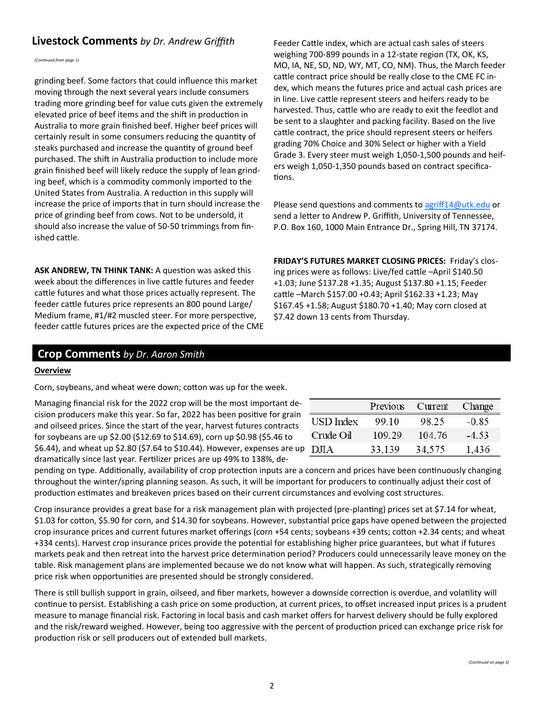# **Livestock Comments** by Dr. Andrew Griffith Feeder Cattle index, which are actual cash sales of steers

*(Continued from page 1)*

grinding beef. Some factors that could influence this market moving through the next several years include consumers trading more grinding beef for value cuts given the extremely elevated price of beef items and the shift in production in Australia to more grain finished beef. Higher beef prices will certainly result in some consumers reducing the quantity of steaks purchased and increase the quantity of ground beef purchased. The shift in Australia production to include more grain finished beef will likely reduce the supply of lean grinding beef, which is a commodity commonly imported to the United States from Australia. A reduction in this supply will increase the price of imports that in turn should increase the price of grinding beef from cows. Not to be undersold, it should also increase the value of 50-50 trimmings from finished cattle.

**ASK ANDREW, TN THINK TANK:** A question was asked this week about the differences in live cattle futures and feeder cattle futures and what those prices actually represent. The feeder cattle futures price represents an 800 pound Large/ Medium frame, #1/#2 muscled steer. For more perspective, feeder cattle futures prices are the expected price of the CME weighing 700-899 pounds in a 12-state region (TX, OK, KS, MO, IA, NE, SD, ND, WY, MT, CO, NM). Thus, the March feeder cattle contract price should be really close to the CME FC index, which means the futures price and actual cash prices are in line. Live cattle represent steers and heifers ready to be harvested. Thus, cattle who are ready to exit the feedlot and be sent to a slaughter and packing facility. Based on the live cattle contract, the price should represent steers or heifers grading 70% Choice and 30% Select or higher with a Yield Grade 3. Every steer must weigh 1,050-1,500 pounds and heifers weigh 1,050-1,350 pounds based on contract specifications.

Please send questions and comments to [agriff14@utk.edu](mailto:agriff14@utk.edu) or send a letter to Andrew P. Griffith, University of Tennessee, P.O. Box 160, 1000 Main Entrance Dr., Spring Hill, TN 37174.

**FRIDAY'S FUTURES MARKET CLOSING PRICES:** Friday's closing prices were as follows: Live/fed cattle –April \$140.50 +1.03; June \$137.28 +1.35; August \$137.80 +1.15; Feeder cattle –March \$157.00 +0.43; April \$162.33 +1.23; May \$167.45 +1.58; August \$180.70 +1.40; May corn closed at \$7.42 down 13 cents from Thursday.

# **Crop Comments** *by Dr. Aaron Smith*

#### **Overview**

Corn, soybeans, and wheat were down; cotton was up for the week.

Managing financial risk for the 2022 crop will be the most important decision producers make this year. So far, 2022 has been positive for grain and oilseed prices. Since the start of the year, harvest futures contracts for soybeans are up \$2.00 (\$12.69 to \$14.69), corn up \$0.98 (\$5.46 to \$6.44), and wheat up \$2.80 (\$7.64 to \$10.44). However, expenses are up dramatically since last year. Fertilizer prices are up 49% to 138%, de-

|           | Previous | Current | Change  |
|-----------|----------|---------|---------|
| USD Index | 99 10    | 98.25   | $-0.85$ |
| Crude Oil | 109.29   | 104.76  | $-4,53$ |
| D.ITA     | 33,139   | 34,575  | 1,436   |

pending on type. Additionally, availability of crop protection inputs are a concern and prices have been continuously changing throughout the winter/spring planning season. As such, it will be important for producers to continually adjust their cost of production estimates and breakeven prices based on their current circumstances and evolving cost structures.

Crop insurance provides a great base for a risk management plan with projected (pre-planting) prices set at \$7.14 for wheat, \$1.03 for cotton, \$5.90 for corn, and \$14.30 for soybeans. However, substantial price gaps have opened between the projected crop insurance prices and current futures market offerings (corn +54 cents; soybeans +39 cents; cotton +2.34 cents; and wheat +334 cents). Harvest crop insurance prices provide the potential for establishing higher price guarantees, but what if futures markets peak and then retreat into the harvest price determination period? Producers could unnecessarily leave money on the table. Risk management plans are implemented because we do not know what will happen. As such, strategically removing price risk when opportunities are presented should be strongly considered.

There is still bullish support in grain, oilseed, and fiber markets, however a downside correction is overdue, and volatility will continue to persist. Establishing a cash price on some production, at current prices, to offset increased input prices is a prudent measure to manage financial risk. Factoring in local basis and cash market offers for harvest delivery should be fully explored and the risk/reward weighed. However, being too aggressive with the percent of production priced can exchange price risk for production risk or sell producers out of extended bull markets.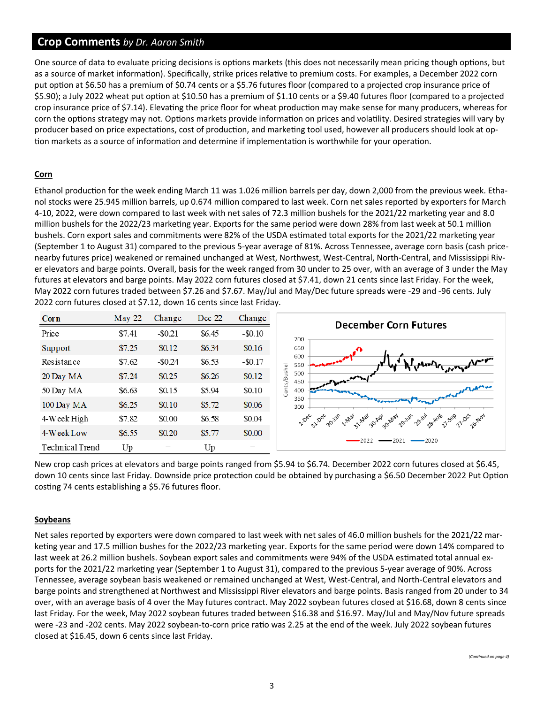# **Crop Comments** *by Dr. Aaron Smith*

One source of data to evaluate pricing decisions is options markets (this does not necessarily mean pricing though options, but as a source of market information). Specifically, strike prices relative to premium costs. For examples, a December 2022 corn put option at \$6.50 has a premium of \$0.74 cents or a \$5.76 futures floor (compared to a projected crop insurance price of \$5.90); a July 2022 wheat put option at \$10.50 has a premium of \$1.10 cents or a \$9.40 futures floor (compared to a projected crop insurance price of \$7.14). Elevating the price floor for wheat production may make sense for many producers, whereas for corn the options strategy may not. Options markets provide information on prices and volatility. Desired strategies will vary by producer based on price expectations, cost of production, and marketing tool used, however all producers should look at option markets as a source of information and determine if implementation is worthwhile for your operation.

#### **Corn**

Ethanol production for the week ending March 11 was 1.026 million barrels per day, down 2,000 from the previous week. Ethanol stocks were 25.945 million barrels, up 0.674 million compared to last week. Corn net sales reported by exporters for March 4-10, 2022, were down compared to last week with net sales of 72.3 million bushels for the 2021/22 marketing year and 8.0 million bushels for the 2022/23 marketing year. Exports for the same period were down 28% from last week at 50.1 million bushels. Corn export sales and commitments were 82% of the USDA estimated total exports for the 2021/22 marketing year (September 1 to August 31) compared to the previous 5-year average of 81%. Across Tennessee, average corn basis (cash pricenearby futures price) weakened or remained unchanged at West, Northwest, West-Central, North-Central, and Mississippi River elevators and barge points. Overall, basis for the week ranged from 30 under to 25 over, with an average of 3 under the May futures at elevators and barge points. May 2022 corn futures closed at \$7.41, down 21 cents since last Friday. For the week, May 2022 corn futures traded between \$7.26 and \$7.67. May/Jul and May/Dec future spreads were -29 and -96 cents. July 2022 corn futures closed at \$7.12, down 16 cents since last Friday.



New crop cash prices at elevators and barge points ranged from \$5.94 to \$6.74. December 2022 corn futures closed at \$6.45, down 10 cents since last Friday. Downside price protection could be obtained by purchasing a \$6.50 December 2022 Put Option costing 74 cents establishing a \$5.76 futures floor.

## **Soybeans**

Net sales reported by exporters were down compared to last week with net sales of 46.0 million bushels for the 2021/22 marketing year and 17.5 million bushes for the 2022/23 marketing year. Exports for the same period were down 14% compared to last week at 26.2 million bushels. Soybean export sales and commitments were 94% of the USDA estimated total annual exports for the 2021/22 marketing year (September 1 to August 31), compared to the previous 5-year average of 90%. Across Tennessee, average soybean basis weakened or remained unchanged at West, West-Central, and North-Central elevators and barge points and strengthened at Northwest and Mississippi River elevators and barge points. Basis ranged from 20 under to 34 over, with an average basis of 4 over the May futures contract. May 2022 soybean futures closed at \$16.68, down 8 cents since last Friday. For the week, May 2022 soybean futures traded between \$16.38 and \$16.97. May/Jul and May/Nov future spreads were -23 and -202 cents. May 2022 soybean-to-corn price ratio was 2.25 at the end of the week. July 2022 soybean futures closed at \$16.45, down 6 cents since last Friday.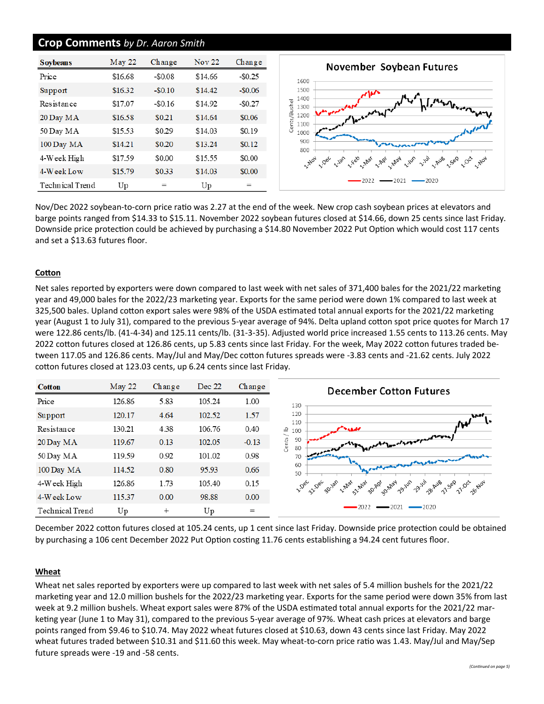### **Crop Comments** *by Dr. Aaron Smith*

| <b>Soybeans</b> | May 22  | Change   | <b>Nov 22</b> | Change   |
|-----------------|---------|----------|---------------|----------|
| Price           | \$16.68 | $-$0.08$ | \$14.66       | $-$0.25$ |
| Support         | \$16.32 | $-$0.10$ | \$14.42       | $-$0.06$ |
| Resistance      | \$17.07 | $-$0.16$ | \$14.92       | $-$0.27$ |
| 20 Day MA       | \$16.58 | \$0.21   | \$14.64       | \$0.06   |
| 50 Day MA       | \$15.53 | \$0.29   | \$14.03       | \$0.19   |
| 100 Day MA      | \$14.21 | \$0.20   | \$13.24       | \$0.12   |
| 4-Week High     | \$17.59 | \$0.00   | \$15.55       | \$0.00   |
| 4-Week Low      | \$15.79 | \$0.33   | \$14.03       | \$0.00   |
| Technical Trend | Up      | $=$      | Up            | $=$      |



Nov/Dec 2022 soybean-to-corn price ratio was 2.27 at the end of the week. New crop cash soybean prices at elevators and barge points ranged from \$14.33 to \$15.11. November 2022 soybean futures closed at \$14.66, down 25 cents since last Friday. Downside price protection could be achieved by purchasing a \$14.80 November 2022 Put Option which would cost 117 cents and set a \$13.63 futures floor.

#### **Cotton**

Net sales reported by exporters were down compared to last week with net sales of 371,400 bales for the 2021/22 marketing year and 49,000 bales for the 2022/23 marketing year. Exports for the same period were down 1% compared to last week at 325,500 bales. Upland cotton export sales were 98% of the USDA estimated total annual exports for the 2021/22 marketing year (August 1 to July 31), compared to the previous 5-year average of 94%. Delta upland cotton spot price quotes for March 17 were 122.86 cents/lb. (41-4-34) and 125.11 cents/lb. (31-3-35). Adjusted world price increased 1.55 cents to 113.26 cents. May 2022 cotton futures closed at 126.86 cents, up 5.83 cents since last Friday. For the week, May 2022 cotton futures traded between 117.05 and 126.86 cents. May/Jul and May/Dec cotton futures spreads were -3.83 cents and -21.62 cents. July 2022 cotton futures closed at 123.03 cents, up 6.24 cents since last Friday.



December 2022 cotton futures closed at 105.24 cents, up 1 cent since last Friday. Downside price protection could be obtained by purchasing a 106 cent December 2022 Put Option costing 11.76 cents establishing a 94.24 cent futures floor.

#### **Wheat**

Wheat net sales reported by exporters were up compared to last week with net sales of 5.4 million bushels for the 2021/22 marketing year and 12.0 million bushels for the 2022/23 marketing year. Exports for the same period were down 35% from last week at 9.2 million bushels. Wheat export sales were 87% of the USDA estimated total annual exports for the 2021/22 marketing year (June 1 to May 31), compared to the previous 5-year average of 97%. Wheat cash prices at elevators and barge points ranged from \$9.46 to \$10.74. May 2022 wheat futures closed at \$10.63, down 43 cents since last Friday. May 2022 wheat futures traded between \$10.31 and \$11.60 this week. May wheat-to-corn price ratio was 1.43. May/Jul and May/Sep future spreads were -19 and -58 cents.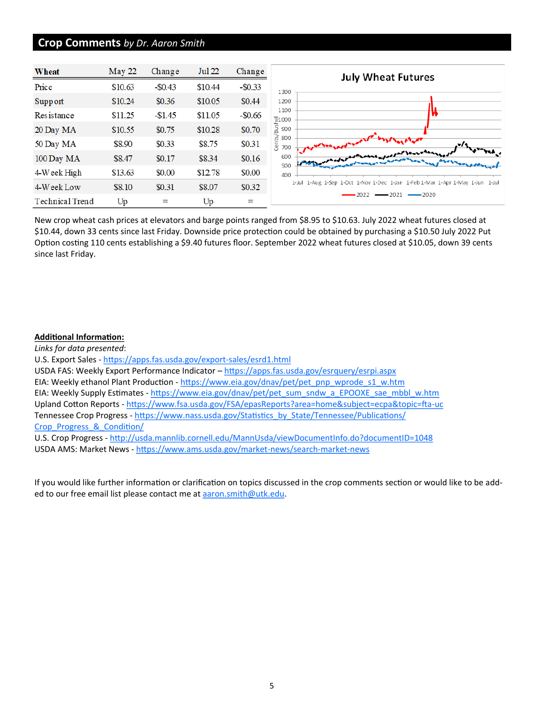# **Crop Comments** *by Dr. Aaron Smith*

| Wheat           | May 22  | Change     | <b>Jul 22</b> | Change     | <b>July Wheat Futures</b>                                                     |
|-----------------|---------|------------|---------------|------------|-------------------------------------------------------------------------------|
| Price           | \$10.63 | $-$ \$0.43 | \$10.44       | $-$ \$0.33 | 1300                                                                          |
| Support         | \$10.24 | \$0.36     | \$10.05       | \$0.44     | 1200                                                                          |
| Resistance      | \$11.25 | $-\$1.45$  | \$11.05       | $-$ \$0.66 | 1100<br>21000                                                                 |
| 20 Day MA       | \$10.55 | \$0.75     | \$10.28       | \$0.70     | Bus <br>900                                                                   |
| 50 Day MA       | \$8.90  | \$0.33     | \$8.75        | \$0.31     | 800<br>ø<br>Ğ<br>700                                                          |
| 100 Day MA      | \$8.47  | \$0.17     | \$8.34        | \$0.16     | interested for lows and way<br>600                                            |
| $4$ Week High   | \$13.63 | \$0.00     | \$12.78       | \$0.00     | 500<br>400                                                                    |
| 4-Week Low      | \$8.10  | \$0.31     | \$8.07        | \$0.32     | 1-Jul 1-Aug 1-Sep 1-Oct 1-Nov 1-Dec 1-Jan 1-Feb 1-Mar 1-Apr 1-May 1-Jun 1-Jul |
| Technical Trend | Up      | $=$        | Up            | $=$        | $-2021 - 2020$<br>2022                                                        |

New crop wheat cash prices at elevators and barge points ranged from \$8.95 to \$10.63. July 2022 wheat futures closed at \$10.44, down 33 cents since last Friday. Downside price protection could be obtained by purchasing a \$10.50 July 2022 Put Option costing 110 cents establishing a \$9.40 futures floor. September 2022 wheat futures closed at \$10.05, down 39 cents since last Friday.

#### **Additional Information:**

*Links for data presented*: U.S. Export Sales - [https://apps.fas.usda.gov/export](https://apps.fas.usda.gov/export-sales/esrd1.html)-sales/esrd1.html USDA FAS: Weekly Export Performance Indicator - <https://apps.fas.usda.gov/esrquery/esrpi.aspx> EIA: Weekly ethanol Plant Production - [https://www.eia.gov/dnav/pet/pet\\_pnp\\_wprode\\_s1\\_w.htm](https://www.eia.gov/dnav/pet/pet_pnp_wprode_s1_w.htm) EIA: Weekly Supply Estimates - [https://www.eia.gov/dnav/pet/pet\\_sum\\_sndw\\_a\\_EPOOXE\\_sae\\_mbbl\\_w.htm](https://www.eia.gov/dnav/pet/pet_sum_sndw_a_EPOOXE_sae_mbbl_w.htm) Upland Cotton Reports - [https://www.fsa.usda.gov/FSA/epasReports?area=home&subject=ecpa&topic=fta](https://www.fsa.usda.gov/FSA/epasReports?area=home&subject=ecpa&topic=fta-uc)-uc Tennessee Crop Progress - [https://www.nass.usda.gov/Statistics\\_by\\_State/Tennessee/Publications/](https://www.nass.usda.gov/Statistics_by_State/Tennessee/Publications/Crop_Progress_&_Condition/) [Crop\\_Progress\\_&\\_Condition/](https://www.nass.usda.gov/Statistics_by_State/Tennessee/Publications/Crop_Progress_&_Condition/) U.S. Crop Progress - <http://usda.mannlib.cornell.edu/MannUsda/viewDocumentInfo.do?documentID=1048> USDA AMS: Market News - [https://www.ams.usda.gov/market](https://www.ams.usda.gov/market-news/search-market-news)-news/search-market-news

If you would like further information or clarification on topics discussed in the crop comments section or would like to be added to our free email list please contact me at aaron.smith@utk.edu.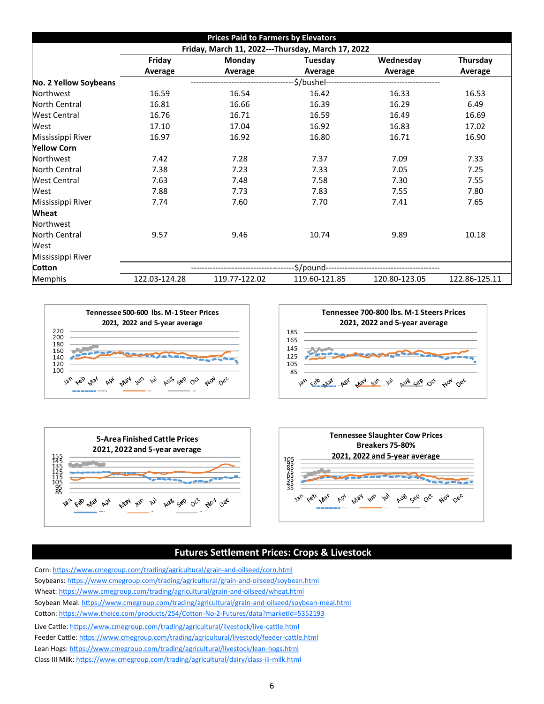| <b>Prices Paid to Farmers by Elevators</b>        |                                                      |               |               |               |               |  |  |  |
|---------------------------------------------------|------------------------------------------------------|---------------|---------------|---------------|---------------|--|--|--|
| Friday, March 11, 2022---Thursday, March 17, 2022 |                                                      |               |               |               |               |  |  |  |
|                                                   | Friday<br>Wednesday<br>Monday<br>Tuesday<br>Thursday |               |               |               |               |  |  |  |
|                                                   | Average                                              | Average       | Average       | Average       | Average       |  |  |  |
| No. 2 Yellow Soybeans                             | \$/bushel--                                          |               |               |               |               |  |  |  |
| Northwest                                         | 16.59                                                | 16.54         | 16.42         | 16.33         | 16.53         |  |  |  |
| <b>North Central</b>                              | 16.81                                                | 16.66         | 16.39         | 16.29         | 6.49          |  |  |  |
| <b>West Central</b>                               | 16.76                                                | 16.71         | 16.59         | 16.49         | 16.69         |  |  |  |
| West                                              | 17.10                                                | 17.04         | 16.92         | 16.83         | 17.02         |  |  |  |
| Mississippi River                                 | 16.97                                                | 16.92         | 16.80         | 16.71         | 16.90         |  |  |  |
| <b>Yellow Corn</b>                                |                                                      |               |               |               |               |  |  |  |
| Northwest                                         | 7.42                                                 | 7.28          | 7.37          | 7.09          | 7.33          |  |  |  |
| <b>North Central</b>                              | 7.38                                                 | 7.23          | 7.33          | 7.05          | 7.25          |  |  |  |
| <b>West Central</b>                               | 7.63                                                 | 7.48          | 7.58          | 7.30          | 7.55          |  |  |  |
| West                                              | 7.88                                                 | 7.73          | 7.83          | 7.55          | 7.80          |  |  |  |
| Mississippi River                                 | 7.74                                                 | 7.60          | 7.70          | 7.41          | 7.65          |  |  |  |
| Wheat                                             |                                                      |               |               |               |               |  |  |  |
| Northwest                                         |                                                      |               |               |               |               |  |  |  |
| <b>North Central</b>                              | 9.57                                                 | 9.46          | 10.74         | 9.89          | 10.18         |  |  |  |
| West                                              |                                                      |               |               |               |               |  |  |  |
| Mississippi River                                 |                                                      |               |               |               |               |  |  |  |
| Cotton                                            | \$/pound-                                            |               |               |               |               |  |  |  |
| Memphis                                           | 122.03-124.28                                        | 119.77-122.02 | 119.60-121.85 | 120.80-123.05 | 122.86-125.11 |  |  |  |







# **Futures Settlement Prices: Crops & Livestock**

Corn: [https://www.cmegroup.com/trading/agricultural/grain](https://www.cmegroup.com/trading/agricultural/grain-and-oilseed/corn.html)-and-oilseed/corn.html Soybeans: [https://www.cmegroup.com/trading/agricultural/grain](https://www.cmegroup.com/trading/agricultural/grain-and-oilseed/soybean.html)-and-oilseed/soybean.html Wheat: [https://www.cmegroup.com/trading/agricultural/grain](https://www.cmegroup.com/trading/agricultural/grain-and-oilseed/wheat.html)-and-oilseed/wheat.html Soybean Meal: [https://www.cmegroup.com/trading/agricultural/grain](https://www.cmegroup.com/trading/agricultural/grain-and-oilseed/soybean-meal.html)-and-oilseed/soybean-meal.html Cotton: [https://www.theice.com/products/254/Cotton](https://www.theice.com/products/254/Cotton-No-2-Futures/data?marketId=5352193)-No-2-Futures/data?marketId=5352193 Live Cattle: [https://www.cmegroup.com/trading/agricultural/livestock/live](https://www.cmegroup.com/trading/agricultural/livestock/live-cattle.html)-cattle.html Feeder Cattle: [https://www.cmegroup.com/trading/agricultural/livestock/feeder](https://www.cmegroup.com/trading/agricultural/livestock/feeder-cattle.html)-cattle.html Lean Hogs: [https://www.cmegroup.com/trading/agricultural/livestock/lean](https://www.cmegroup.com/trading/agricultural/livestock/lean-hogs.html)-hogs.html Class III Milk: [https://www.cmegroup.com/trading/agricultural/dairy/class](https://www.cmegroup.com/trading/agricultural/dairy/class-iii-milk.html)-iii-milk.html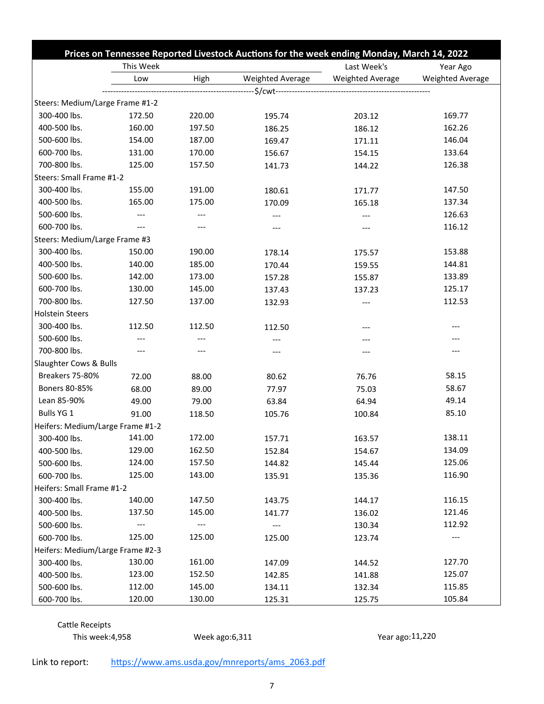|                                  |           |        | Prices on Tennessee Reported Livestock Auctions for the week ending Monday, March 14, 2022 |                  |                  |
|----------------------------------|-----------|--------|--------------------------------------------------------------------------------------------|------------------|------------------|
|                                  | This Week |        | Last Week's                                                                                | Year Ago         |                  |
|                                  | Low       | High   | Weighted Average                                                                           | Weighted Average | Weighted Average |
|                                  |           |        |                                                                                            |                  |                  |
| Steers: Medium/Large Frame #1-2  |           |        |                                                                                            |                  |                  |
| 300-400 lbs.                     | 172.50    | 220.00 | 195.74                                                                                     | 203.12           | 169.77           |
| 400-500 lbs.                     | 160.00    | 197.50 | 186.25                                                                                     | 186.12           | 162.26           |
| 500-600 lbs.                     | 154.00    | 187.00 | 169.47                                                                                     | 171.11           | 146.04           |
| 600-700 lbs.                     | 131.00    | 170.00 | 156.67                                                                                     | 154.15           | 133.64           |
| 700-800 lbs.                     | 125.00    | 157.50 | 141.73                                                                                     | 144.22           | 126.38           |
| Steers: Small Frame #1-2         |           |        |                                                                                            |                  |                  |
| 300-400 lbs.                     | 155.00    | 191.00 | 180.61                                                                                     | 171.77           | 147.50           |
| 400-500 lbs.                     | 165.00    | 175.00 | 170.09                                                                                     | 165.18           | 137.34           |
| 500-600 lbs.                     | $---$     | $---$  | ---                                                                                        | ---              | 126.63           |
| 600-700 lbs.                     |           |        |                                                                                            | ---              | 116.12           |
| Steers: Medium/Large Frame #3    |           |        |                                                                                            |                  |                  |
| 300-400 lbs.                     | 150.00    | 190.00 | 178.14                                                                                     | 175.57           | 153.88           |
| 400-500 lbs.                     | 140.00    | 185.00 | 170.44                                                                                     | 159.55           | 144.81           |
| 500-600 lbs.                     | 142.00    | 173.00 | 157.28                                                                                     | 155.87           | 133.89           |
| 600-700 lbs.                     | 130.00    | 145.00 | 137.43                                                                                     | 137.23           | 125.17           |
| 700-800 lbs.                     | 127.50    | 137.00 | 132.93                                                                                     | ---              | 112.53           |
| <b>Holstein Steers</b>           |           |        |                                                                                            |                  |                  |
| 300-400 lbs.                     | 112.50    | 112.50 | 112.50                                                                                     | ---              |                  |
| 500-600 lbs.                     | $---$     | ---    | ---                                                                                        | ---              |                  |
| 700-800 lbs.                     |           | ---    | ---                                                                                        | ---              | ---              |
| Slaughter Cows & Bulls           |           |        |                                                                                            |                  |                  |
| Breakers 75-80%                  | 72.00     | 88.00  | 80.62                                                                                      | 76.76            | 58.15            |
| Boners 80-85%                    | 68.00     | 89.00  | 77.97                                                                                      | 75.03            | 58.67            |
| Lean 85-90%                      | 49.00     | 79.00  | 63.84                                                                                      | 64.94            | 49.14            |
| Bulls YG 1                       | 91.00     | 118.50 | 105.76                                                                                     | 100.84           | 85.10            |
| Heifers: Medium/Large Frame #1-2 |           |        |                                                                                            |                  |                  |
| 300-400 lbs.                     | 141.00    | 172.00 | 157.71                                                                                     | 163.57           | 138.11           |
| 400-500 lbs.                     | 129.00    | 162.50 | 152.84                                                                                     | 154.67           | 134.09           |
| 500-600 lbs.                     | 124.00    | 157.50 | 144.82                                                                                     | 145.44           | 125.06           |
| 600-700 lbs.                     | 125.00    | 143.00 | 135.91                                                                                     | 135.36           | 116.90           |
| Heifers: Small Frame #1-2        |           |        |                                                                                            |                  |                  |
| 300-400 lbs.                     | 140.00    | 147.50 | 143.75                                                                                     | 144.17           | 116.15           |
| 400-500 lbs.                     | 137.50    | 145.00 | 141.77                                                                                     | 136.02           | 121.46           |
| 500-600 lbs.                     |           |        |                                                                                            | 130.34           | 112.92           |
| 600-700 lbs.                     | 125.00    | 125.00 | 125.00                                                                                     | 123.74           |                  |
| Heifers: Medium/Large Frame #2-3 |           |        |                                                                                            |                  |                  |
| 300-400 lbs.                     | 130.00    | 161.00 | 147.09                                                                                     | 144.52           | 127.70           |
| 400-500 lbs.                     | 123.00    | 152.50 | 142.85                                                                                     | 141.88           | 125.07           |
| 500-600 lbs.                     | 112.00    | 145.00 | 134.11                                                                                     | 132.34           | 115.85           |
| 600-700 lbs.                     | 120.00    | 130.00 | 125.31                                                                                     | 125.75           | 105.84           |

Cattle Receipts

This week:4,958 Week ago:6,311 Year ago:11,220